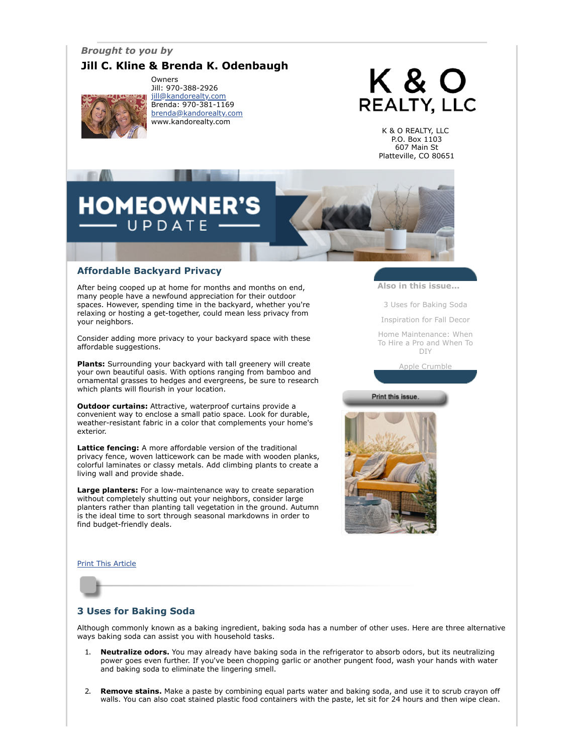## *Brought to you by*

# **Jill C. Kline & Brenda K. Odenbaugh**



Owners Jill: 970-388-2926 [jill@kandorealty.com](mailto:jill@kandorealty.com) Brenda: 970-381-1169 [brenda@kandorealty.com](mailto:brenda@kandorealty.com) www.kandorealty.com

# K & O **REALTY, LLC**

K & O REALTY, LLC P.O. Box 1103 607 Main St Platteville, CO 80651

# **DMEOWNER'** UPDATE

#### **Affordable Backyard Privacy**

After being cooped up at home for months and months on end, many people have a newfound appreciation for their outdoor spaces. However, spending time in the backyard, whether you're relaxing or hosting a get-together, could mean less privacy from your neighbors.

Consider adding more privacy to your backyard space with these affordable suggestions.

**Plants:** Surrounding your backyard with tall greenery will create your own beautiful oasis. With options ranging from bamboo and ornamental grasses to hedges and evergreens, be sure to research which plants will flourish in your location.

**Outdoor curtains:** Attractive, waterproof curtains provide a convenient way to enclose a small patio space. Look for durable, weather-resistant fabric in a color that complements your home's exterior.

**Lattice fencing:** A more affordable version of the traditional privacy fence, woven latticework can be made with wooden planks, colorful laminates or classy metals. Add climbing plants to create a living wall and provide shade.

**Large planters:** For a low-maintenance way to create separation without completely shutting out your neighbors, consider large planters rather than planting tall vegetation in the ground. Autumn is the ideal time to sort through seasonal markdowns in order to find budget-friendly deals.

**Also in this issue...**

[3 Uses for Baking Soda](#page-0-0)

[Inspiration for Fall Decor](#page-1-0)

[Home Maintenance: When](#page-1-1) To Hire a Pro and When To DIY

[Apple Crumble](#page-2-0)

Print this issue.



#### [Print This Article](javascript:print();)

## <span id="page-0-0"></span>**3 Uses for Baking Soda**

Although commonly known as a baking ingredient, baking soda has a number of other uses. Here are three alternative ways baking soda can assist you with household tasks.

- 1. **Neutralize odors.** You may already have baking soda in the refrigerator to absorb odors, but its neutralizing power goes even further. If you've been chopping garlic or another pungent food, wash your hands with water and baking soda to eliminate the lingering smell.
- 2. **Remove stains.** Make a paste by combining equal parts water and baking soda, and use it to scrub crayon off walls. You can also coat stained plastic food containers with the paste, let sit for 24 hours and then wipe clean.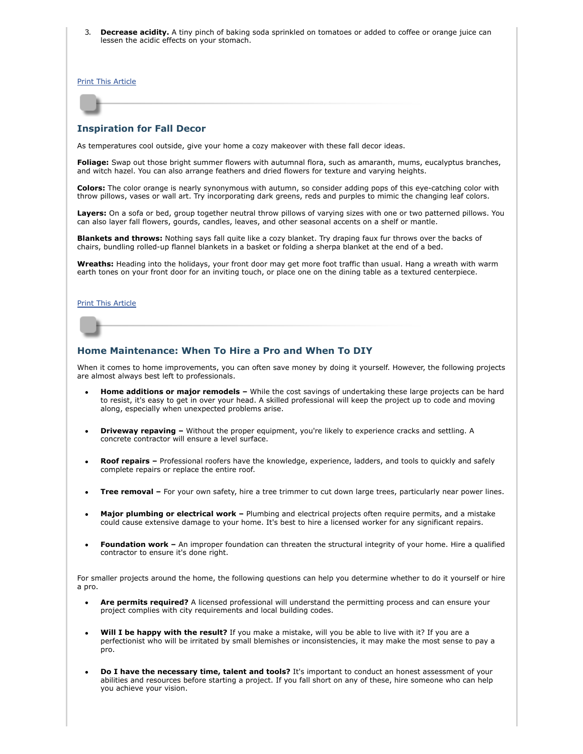3. **Decrease acidity.** A tiny pinch of baking soda sprinkled on tomatoes or added to coffee or orange juice can lessen the acidic effects on your stomach.

[Print This Article](javascript:print();)

#### <span id="page-1-0"></span>**Inspiration for Fall Decor**

As temperatures cool outside, give your home a cozy makeover with these fall decor ideas.

**Foliage:** Swap out those bright summer flowers with autumnal flora, such as amaranth, mums, eucalyptus branches, and witch hazel. You can also arrange feathers and dried flowers for texture and varying heights.

**Colors:** The color orange is nearly synonymous with autumn, so consider adding pops of this eye-catching color with throw pillows, vases or wall art. Try incorporating dark greens, reds and purples to mimic the changing leaf colors.

**Layers:** On a sofa or bed, group together neutral throw pillows of varying sizes with one or two patterned pillows. You can also layer fall flowers, gourds, candles, leaves, and other seasonal accents on a shelf or mantle.

**Blankets and throws:** Nothing says fall quite like a cozy blanket. Try draping faux fur throws over the backs of chairs, bundling rolled-up flannel blankets in a basket or folding a sherpa blanket at the end of a bed.

**Wreaths:** Heading into the holidays, your front door may get more foot traffic than usual. Hang a wreath with warm earth tones on your front door for an inviting touch, or place one on the dining table as a textured centerpiece.

#### [Print This Article](javascript:print();)

#### <span id="page-1-1"></span>**Home Maintenance: When To Hire a Pro and When To DIY**

When it comes to home improvements, you can often save money by doing it yourself. However, the following projects are almost always best left to professionals.

- **Home additions or major remodels –** While the cost savings of undertaking these large projects can be hard to resist, it's easy to get in over your head. A skilled professional will keep the project up to code and moving along, especially when unexpected problems arise.
- **Driveway repaving –** Without the proper equipment, you're likely to experience cracks and settling. A concrete contractor will ensure a level surface.
- **Roof repairs –** Professional roofers have the knowledge, experience, ladders, and tools to quickly and safely complete repairs or replace the entire roof.
- **Tree removal –** For your own safety, hire a tree trimmer to cut down large trees, particularly near power lines.
- **Major plumbing or electrical work** Plumbing and electrical projects often require permits, and a mistake could cause extensive damage to your home. It's best to hire a licensed worker for any significant repairs.
- **Foundation work –** An improper foundation can threaten the structural integrity of your home. Hire a qualified contractor to ensure it's done right.

For smaller projects around the home, the following questions can help you determine whether to do it yourself or hire a pro.

- **Are permits required?** A licensed professional will understand the permitting process and can ensure your project complies with city requirements and local building codes.
- **Will I be happy with the result?** If you make a mistake, will you be able to live with it? If you are a perfectionist who will be irritated by small blemishes or inconsistencies, it may make the most sense to pay a pro.
- **Do I have the necessary time, talent and tools?** It's important to conduct an honest assessment of your abilities and resources before starting a project. If you fall short on any of these, hire someone who can help you achieve your vision.